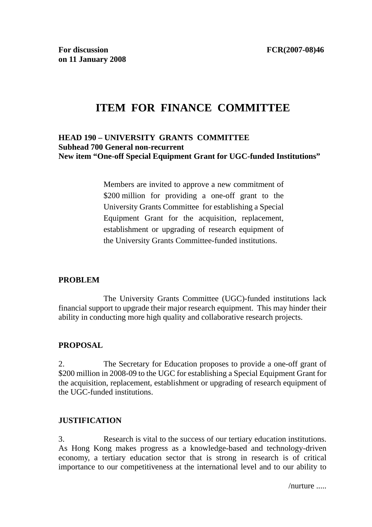# **ITEM FOR FINANCE COMMITTEE**

# **HEAD 190 – UNIVERSITY GRANTS COMMITTEE Subhead 700 General non-recurrent New item "One-off Special Equipment Grant for UGC-funded Institutions"**

Members are invited to approve a new commitment of \$200 million for providing a one-off grant to the University Grants Committee for establishing a Special Equipment Grant for the acquisition, replacement, establishment or upgrading of research equipment of the University Grants Committee-funded institutions.

# **PROBLEM**

 The University Grants Committee (UGC)-funded institutions lack financial support to upgrade their major research equipment. This may hinder their ability in conducting more high quality and collaborative research projects.

#### **PROPOSAL**

2. The Secretary for Education proposes to provide a one-off grant of \$200 million in 2008-09 to the UGC for establishing a Special Equipment Grant for the acquisition, replacement, establishment or upgrading of research equipment of the UGC-funded institutions.

#### **JUSTIFICATION**

3. Research is vital to the success of our tertiary education institutions. As Hong Kong makes progress as a knowledge-based and technology-driven economy, a tertiary education sector that is strong in research is of critical importance to our competitiveness at the international level and to our ability to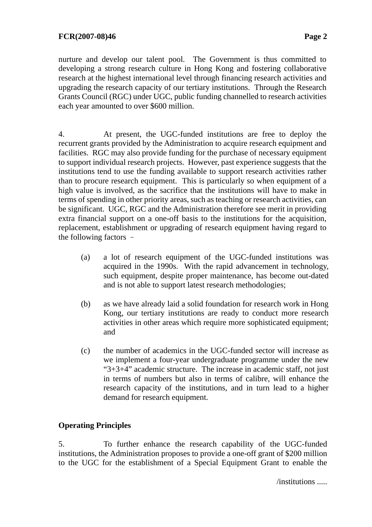nurture and develop our talent pool. The Government is thus committed to developing a strong research culture in Hong Kong and fostering collaborative research at the highest international level through financing research activities and upgrading the research capacity of our tertiary institutions. Through the Research Grants Council (RGC) under UGC, public funding channelled to research activities each year amounted to over \$600 million.

4. At present, the UGC-funded institutions are free to deploy the recurrent grants provided by the Administration to acquire research equipment and facilities. RGC may also provide funding for the purchase of necessary equipment to support individual research projects. However, past experience suggests that the institutions tend to use the funding available to support research activities rather than to procure research equipment. This is particularly so when equipment of a high value is involved, as the sacrifice that the institutions will have to make in terms of spending in other priority areas, such as teaching or research activities, can be significant. UGC, RGC and the Administration therefore see merit in providing extra financial support on a one-off basis to the institutions for the acquisition, replacement, establishment or upgrading of research equipment having regard to the following factors –

- (a) a lot of research equipment of the UGC-funded institutions was acquired in the 1990s. With the rapid advancement in technology, such equipment, despite proper maintenance, has become out-dated and is not able to support latest research methodologies;
- (b) as we have already laid a solid foundation for research work in Hong Kong, our tertiary institutions are ready to conduct more research activities in other areas which require more sophisticated equipment; and
- (c) the number of academics in the UGC-funded sector will increase as we implement a four-year undergraduate programme under the new "3+3+4" academic structure. The increase in academic staff, not just in terms of numbers but also in terms of calibre, will enhance the research capacity of the institutions, and in turn lead to a higher demand for research equipment.

# **Operating Principles**

5. To further enhance the research capability of the UGC-funded institutions, the Administration proposes to provide a one-off grant of \$200 million to the UGC for the establishment of a Special Equipment Grant to enable the

/institutions .....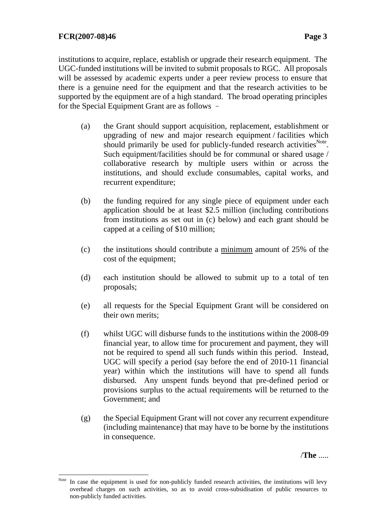$\overline{a}$ 

institutions to acquire, replace, establish or upgrade their research equipment. The UGC-funded institutions will be invited to submit proposals to RGC. All proposals will be assessed by academic experts under a peer review process to ensure that there is a genuine need for the equipment and that the research activities to be supported by the equipment are of a high standard. The broad operating principles for the Special Equipment Grant are as follows –

- (a) the Grant should support acquisition, replacement, establishment or upgrading of new and major research equipment / facilities which should primarily be used for publicly-funded research activities<sup>Note</sup>. Such equipment/facilities should be for communal or shared usage / collaborative research by multiple users within or across the institutions, and should exclude consumables, capital works, and recurrent expenditure;
- (b) the funding required for any single piece of equipment under each application should be at least \$2.5 million (including contributions from institutions as set out in (c) below) and each grant should be capped at a ceiling of \$10 million;
- (c) the institutions should contribute a minimum amount of 25% of the cost of the equipment;
- (d) each institution should be allowed to submit up to a total of ten proposals;
- (e) all requests for the Special Equipment Grant will be considered on their own merits;
- (f) whilst UGC will disburse funds to the institutions within the 2008-09 financial year, to allow time for procurement and payment, they will not be required to spend all such funds within this period. Instead, UGC will specify a period (say before the end of 2010-11 financial year) within which the institutions will have to spend all funds disbursed. Any unspent funds beyond that pre-defined period or provisions surplus to the actual requirements will be returned to the Government; and
- (g) the Special Equipment Grant will not cover any recurrent expenditure (including maintenance) that may have to be borne by the institutions in consequence.

/**The** .....

Note In case the equipment is used for non-publicly funded research activities, the institutions will levy overhead charges on such activities, so as to avoid cross-subsidisation of public resources to non-publicly funded activities.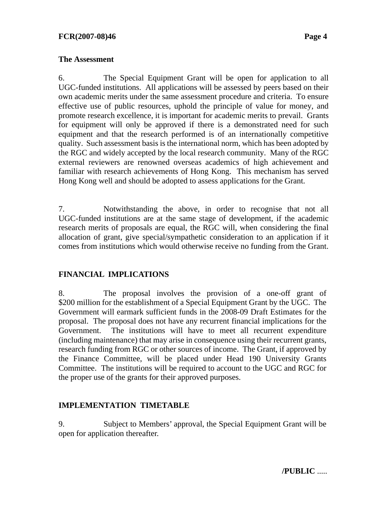#### **The Assessment**

6. The Special Equipment Grant will be open for application to all UGC-funded institutions. All applications will be assessed by peers based on their own academic merits under the same assessment procedure and criteria. To ensure effective use of public resources, uphold the principle of value for money, and promote research excellence, it is important for academic merits to prevail. Grants for equipment will only be approved if there is a demonstrated need for such equipment and that the research performed is of an internationally competitive quality. Such assessment basis is the international norm, which has been adopted by the RGC and widely accepted by the local research community. Many of the RGC external reviewers are renowned overseas academics of high achievement and familiar with research achievements of Hong Kong. This mechanism has served Hong Kong well and should be adopted to assess applications for the Grant.

7. Notwithstanding the above, in order to recognise that not all UGC-funded institutions are at the same stage of development, if the academic research merits of proposals are equal, the RGC will, when considering the final allocation of grant, give special/sympathetic consideration to an application if it comes from institutions which would otherwise receive no funding from the Grant.

# **FINANCIAL IMPLICATIONS**

8. The proposal involves the provision of a one-off grant of \$200 million for the establishment of a Special Equipment Grant by the UGC. The Government will earmark sufficient funds in the 2008-09 Draft Estimates for the proposal. The proposal does not have any recurrent financial implications for the Government. The institutions will have to meet all recurrent expenditure (including maintenance) that may arise in consequence using their recurrent grants, research funding from RGC or other sources of income. The Grant, if approved by the Finance Committee, will be placed under Head 190 University Grants Committee. The institutions will be required to account to the UGC and RGC for the proper use of the grants for their approved purposes.

# **IMPLEMENTATION TIMETABLE**

9. Subject to Members' approval, the Special Equipment Grant will be open for application thereafter.

**/PUBLIC** .....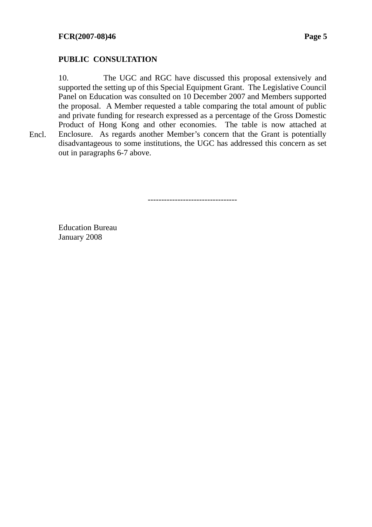# **PUBLIC CONSULTATION**

10. The UGC and RGC have discussed this proposal extensively and supported the setting up of this Special Equipment Grant. The Legislative Council Panel on Education was consulted on 10 December 2007 and Members supported the proposal. A Member requested a table comparing the total amount of public and private funding for research expressed as a percentage of the Gross Domestic Product of Hong Kong and other economies. The table is now attached at Enclosure. As regards another Member's concern that the Grant is potentially disadvantageous to some institutions, the UGC has addressed this concern as set out in paragraphs 6-7 above.

---------------------------------

Education Bureau January 2008

Encl.